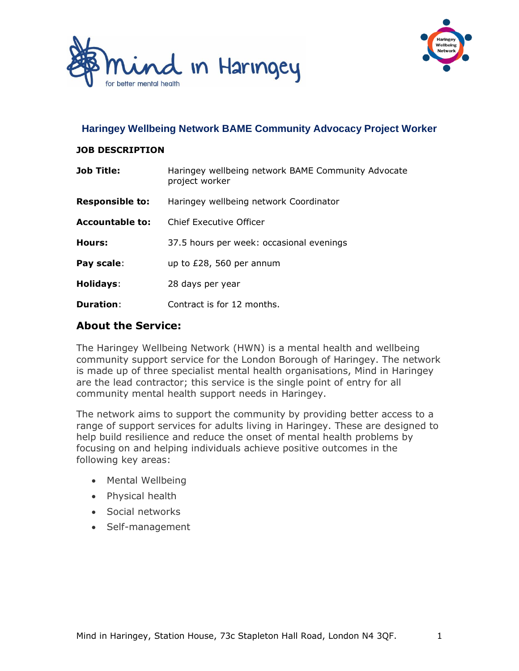



#### **Haringey Wellbeing Network BAME Community Advocacy Project Worker**

#### **JOB DESCRIPTION**

| <b>Job Title:</b>      | Haringey wellbeing network BAME Community Advocate<br>project worker |
|------------------------|----------------------------------------------------------------------|
| <b>Responsible to:</b> | Haringey wellbeing network Coordinator                               |
| <b>Accountable to:</b> | Chief Executive Officer                                              |
| Hours:                 | 37.5 hours per week: occasional evenings                             |
| Pay scale:             | up to $£28,560$ per annum                                            |
| Holidays:              | 28 days per year                                                     |
| <b>Duration:</b>       | Contract is for 12 months.                                           |

#### **About the Service:**

The Haringey Wellbeing Network (HWN) is a mental health and wellbeing community support service for the London Borough of Haringey. The network is made up of three specialist mental health organisations, Mind in Haringey are the lead contractor; this service is the single point of entry for all community mental health support needs in Haringey.

The network aims to support the community by providing better access to a range of support services for adults living in Haringey. These are designed to help build resilience and reduce the onset of mental health problems by focusing on and helping individuals achieve positive outcomes in the following key areas:

- Mental Wellbeing
- Physical health
- Social networks
- Self-management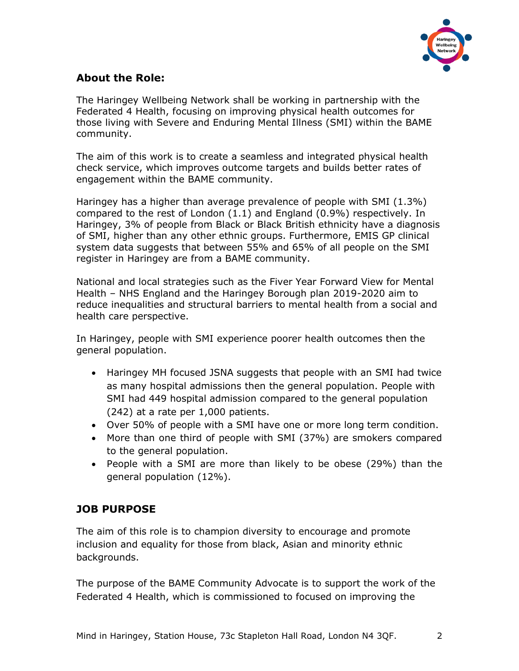

## **About the Role:**

The Haringey Wellbeing Network shall be working in partnership with the Federated 4 Health, focusing on improving physical health outcomes for those living with Severe and Enduring Mental Illness (SMI) within the BAME community.

The aim of this work is to create a seamless and integrated physical health check service, which improves outcome targets and builds better rates of engagement within the BAME community.

Haringey has a higher than average prevalence of people with SMI (1.3%) compared to the rest of London (1.1) and England (0.9%) respectively. In Haringey, 3% of people from Black or Black British ethnicity have a diagnosis of SMI, higher than any other ethnic groups. Furthermore, EMIS GP clinical system data suggests that between 55% and 65% of all people on the SMI register in Haringey are from a BAME community.

National and local strategies such as the Fiver Year Forward View for Mental Health – NHS England and the Haringey Borough plan 2019-2020 aim to reduce inequalities and structural barriers to mental health from a social and health care perspective.

In Haringey, people with SMI experience poorer health outcomes then the general population.

- Haringey MH focused JSNA suggests that people with an SMI had twice as many hospital admissions then the general population. People with SMI had 449 hospital admission compared to the general population (242) at a rate per 1,000 patients.
- Over 50% of people with a SMI have one or more long term condition.
- More than one third of people with SMI (37%) are smokers compared to the general population.
- People with a SMI are more than likely to be obese (29%) than the general population (12%).

## **JOB PURPOSE**

The aim of this role is to champion diversity to encourage and promote inclusion and equality for those from black, Asian and minority ethnic backgrounds.

The purpose of the BAME Community Advocate is to support the work of the Federated 4 Health, which is commissioned to focused on improving the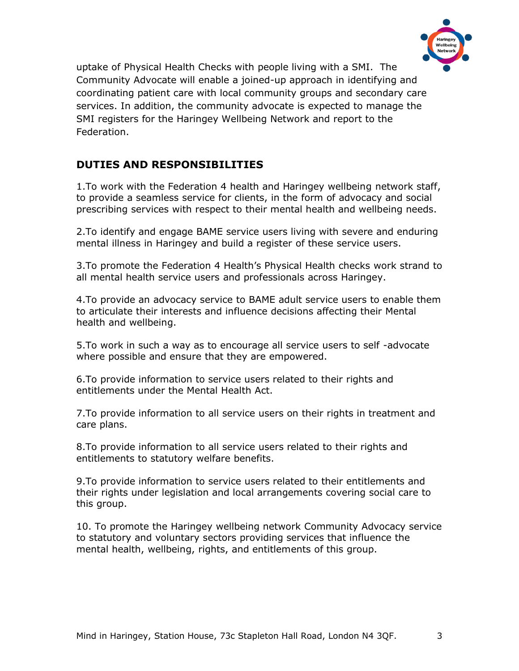

uptake of Physical Health Checks with people living with a SMI. The Community Advocate will enable a joined-up approach in identifying and coordinating patient care with local community groups and secondary care services. In addition, the community advocate is expected to manage the SMI registers for the Haringey Wellbeing Network and report to the Federation.

## **DUTIES AND RESPONSIBILITIES**

1.To work with the Federation 4 health and Haringey wellbeing network staff, to provide a seamless service for clients, in the form of advocacy and social prescribing services with respect to their mental health and wellbeing needs.

2.To identify and engage BAME service users living with severe and enduring mental illness in Haringey and build a register of these service users.

3.To promote the Federation 4 Health's Physical Health checks work strand to all mental health service users and professionals across Haringey.

4.To provide an advocacy service to BAME adult service users to enable them to articulate their interests and influence decisions affecting their Mental health and wellbeing.

5.To work in such a way as to encourage all service users to self -advocate where possible and ensure that they are empowered.

6.To provide information to service users related to their rights and entitlements under the Mental Health Act.

7.To provide information to all service users on their rights in treatment and care plans.

8.To provide information to all service users related to their rights and entitlements to statutory welfare benefits.

9.To provide information to service users related to their entitlements and their rights under legislation and local arrangements covering social care to this group.

10. To promote the Haringey wellbeing network Community Advocacy service to statutory and voluntary sectors providing services that influence the mental health, wellbeing, rights, and entitlements of this group.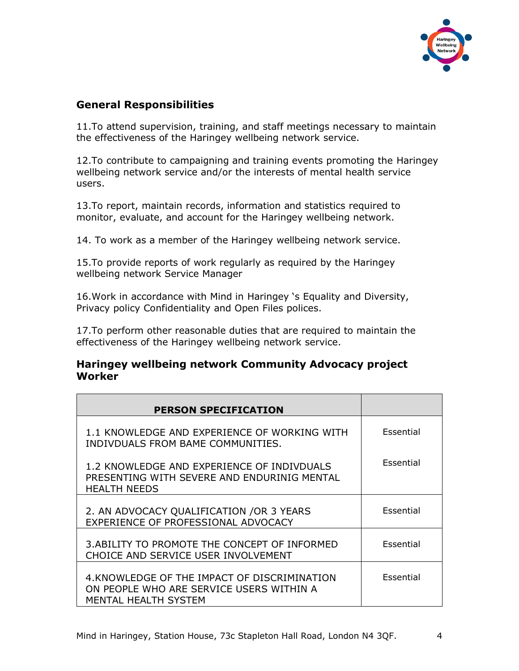

## **General Responsibilities**

11.To attend supervision, training, and staff meetings necessary to maintain the effectiveness of the Haringey wellbeing network service.

12.To contribute to campaigning and training events promoting the Haringey wellbeing network service and/or the interests of mental health service users.

13.To report, maintain records, information and statistics required to monitor, evaluate, and account for the Haringey wellbeing network.

14. To work as a member of the Haringey wellbeing network service.

15.To provide reports of work regularly as required by the Haringey wellbeing network Service Manager

16.Work in accordance with Mind in Haringey 's Equality and Diversity, Privacy policy Confidentiality and Open Files polices.

17.To perform other reasonable duties that are required to maintain the effectiveness of the Haringey wellbeing network service.

#### **Haringey wellbeing network Community Advocacy project Worker**

| <b>PERSON SPECIFICATION</b>                                                                                      |           |
|------------------------------------------------------------------------------------------------------------------|-----------|
| 1.1 KNOWLEDGE AND EXPERIENCE OF WORKING WITH<br>INDIVDUALS FROM BAME COMMUNITIES.                                | Essential |
| 1.2 KNOWLEDGE AND EXPERIENCE OF INDIVDUALS<br>PRESENTING WITH SEVERE AND ENDURINIG MENTAL<br><b>HEALTH NEEDS</b> | Essential |
| 2. AN ADVOCACY QUALIFICATION / OR 3 YEARS<br>EXPERIENCE OF PROFESSIONAL ADVOCACY                                 | Essential |
| 3. ABILITY TO PROMOTE THE CONCEPT OF INFORMED<br>CHOICE AND SERVICE USER INVOLVEMENT                             | Essential |
| 4. KNOWLEDGE OF THE IMPACT OF DISCRIMINATION<br>ON PEOPLE WHO ARE SERVICE USERS WITHIN A<br>MENTAL HEALTH SYSTEM | Essential |